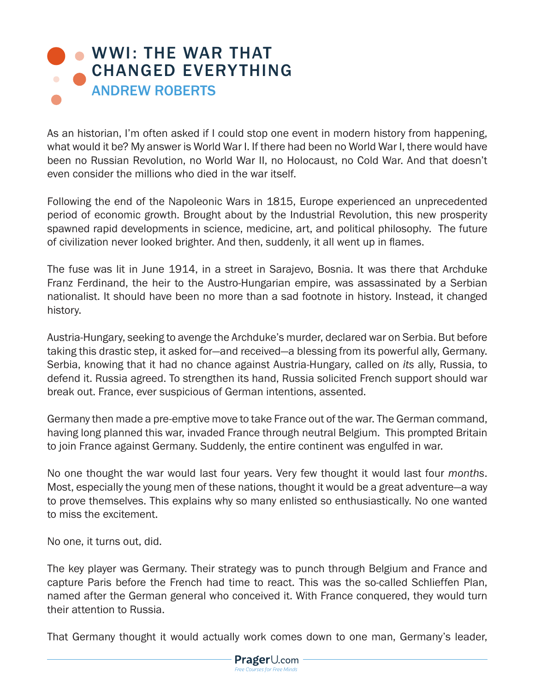## WWI: THE WAR THAT [CHANGED EVERYTHING](https://www.prageru.com/videos/wwi-war-changed-everything) ANDREW ROBERTS

As an historian, I'm often asked if I could stop one event in modern history from happening, what would it be? My answer is World War I. If there had been no World War I, there would have been no Russian Revolution, no World War II, no Holocaust, no Cold War. And that doesn't even consider the millions who died in the war itself.

Following the end of the Napoleonic Wars in 1815, Europe experienced an unprecedented period of economic growth. Brought about by the Industrial Revolution, this new prosperity spawned rapid developments in science, medicine, art, and political philosophy. The future of civilization never looked brighter. And then, suddenly, it all went up in flames.

The fuse was lit in June 1914, in a street in Sarajevo, Bosnia. It was there that Archduke Franz Ferdinand, the heir to the Austro-Hungarian empire, was assassinated by a Serbian nationalist. It should have been no more than a sad footnote in history. Instead, it changed history.

Austria-Hungary, seeking to avenge the Archduke's murder, declared war on Serbia. But before taking this drastic step, it asked for—and received—a blessing from its powerful ally, Germany. Serbia, knowing that it had no chance against Austria-Hungary, called on *its* ally, Russia, to defend it. Russia agreed. To strengthen its hand, Russia solicited French support should war break out. France, ever suspicious of German intentions, assented.

Germany then made a pre-emptive move to take France out of the war. The German command, having long planned this war, invaded France through neutral Belgium. This prompted Britain to join France against Germany. Suddenly, the entire continent was engulfed in war.

No one thought the war would last four years. Very few thought it would last four *months*. Most, especially the young men of these nations, thought it would be a great adventure—a way to prove themselves. This explains why so many enlisted so enthusiastically. No one wanted to miss the excitement.

No one, it turns out, did.

The key player was Germany. Their strategy was to punch through Belgium and France and capture Paris before the French had time to react. This was the so-called Schlieffen Plan, named after the German general who conceived it. With France conquered, they would turn their attention to Russia.

That Germany thought it would actually work comes down to one man, Germany's leader,